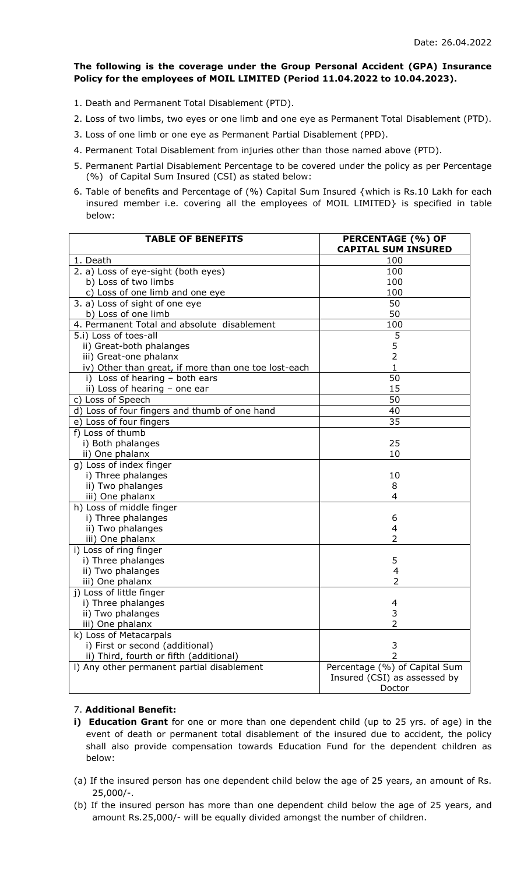## **The following is the coverage under the Group Personal Accident (GPA) Insurance Policy for the employees of MOIL LIMITED (Period 11.04.2022 to 10.04.2023).**

- 1. Death and Permanent Total Disablement (PTD).
- 2. Loss of two limbs, two eyes or one limb and one eye as Permanent Total Disablement (PTD).
- 3. Loss of one limb or one eye as Permanent Partial Disablement (PPD).
- 4. Permanent Total Disablement from injuries other than those named above (PTD).
- 5. Permanent Partial Disablement Percentage to be covered under the policy as per Percentage (%) of Capital Sum Insured (CSI) as stated below:
- 6. Table of benefits and Percentage of (%) Capital Sum Insured {which is Rs.10 Lakh for each insured member i.e. covering all the employees of MOIL LIMITED} is specified in table below:

| <b>TABLE OF BENEFITS</b>                             | <b>PERCENTAGE (%) OF</b><br><b>CAPITAL SUM INSURED</b> |
|------------------------------------------------------|--------------------------------------------------------|
| 1. Death                                             | 100                                                    |
| 2. a) Loss of eye-sight (both eyes)                  | 100                                                    |
| b) Loss of two limbs                                 | 100                                                    |
| c) Loss of one limb and one eye                      | 100                                                    |
| 3. a) Loss of sight of one eye                       | 50                                                     |
| b) Loss of one limb                                  | 50                                                     |
| 4. Permanent Total and absolute disablement          | 100                                                    |
| 5.i) Loss of toes-all                                | 5                                                      |
| ii) Great-both phalanges                             | 5                                                      |
| iii) Great-one phalanx                               | $\overline{2}$                                         |
| iv) Other than great, if more than one toe lost-each | 1                                                      |
| i) Loss of hearing - both ears                       | 50                                                     |
| ii) Loss of hearing - one ear                        | 15                                                     |
| c) Loss of Speech                                    | 50                                                     |
| d) Loss of four fingers and thumb of one hand        | 40                                                     |
| e) Loss of four fingers                              | 35                                                     |
| f) Loss of thumb                                     |                                                        |
| i) Both phalanges                                    | 25                                                     |
| ii) One phalanx                                      | 10                                                     |
| g) Loss of index finger                              |                                                        |
| i) Three phalanges                                   | 10                                                     |
| ii) Two phalanges                                    | 8                                                      |
| iii) One phalanx                                     | 4                                                      |
| h) Loss of middle finger                             |                                                        |
| i) Three phalanges                                   | 6                                                      |
| ii) Two phalanges                                    | 4                                                      |
| iii) One phalanx                                     | $\overline{2}$                                         |
| i) Loss of ring finger                               |                                                        |
| i) Three phalanges                                   | 5                                                      |
| ii) Two phalanges                                    | 4                                                      |
| iii) One phalanx                                     | 2                                                      |
| j) Loss of little finger                             |                                                        |
| i) Three phalanges                                   | 4                                                      |
| ii) Two phalanges                                    | 3                                                      |
| iii) One phalanx                                     | 2                                                      |
| k) Loss of Metacarpals                               |                                                        |
| i) First or second (additional)                      | 3                                                      |
| ii) Third, fourth or fifth (additional)              | $\overline{2}$                                         |
| I) Any other permanent partial disablement           | Percentage (%) of Capital Sum                          |
|                                                      | Insured (CSI) as assessed by                           |
|                                                      | Doctor                                                 |

## 7. **Additional Benefit:**

- **i) Education Grant** for one or more than one dependent child (up to 25 yrs. of age) in the event of death or permanent total disablement of the insured due to accident, the policy shall also provide compensation towards Education Fund for the dependent children as below:
- (a) If the insured person has one dependent child below the age of 25 years, an amount of Rs. 25,000/-.
- (b) If the insured person has more than one dependent child below the age of 25 years, and amount Rs.25,000/- will be equally divided amongst the number of children.